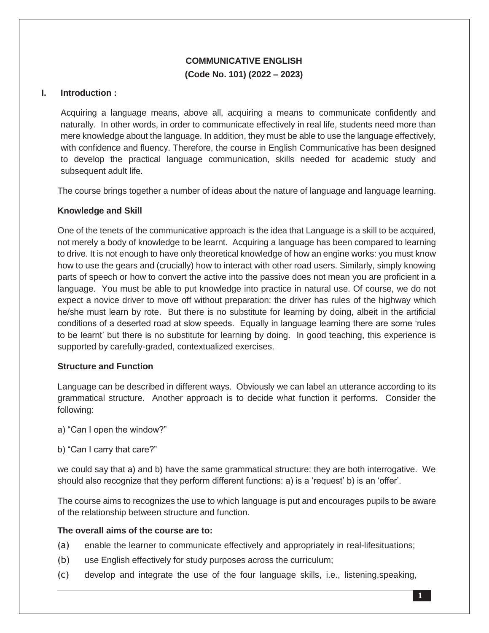# **COMMUNICATIVE ENGLISH (Code No. 101) (2022 – 2023)**

# **I. Introduction :**

Acquiring a language means, above all, acquiring a means to communicate confidently and naturally. In other words, in order to communicate effectively in real life, students need more than mere knowledge about the language. In addition, they must be able to use the language effectively, with confidence and fluency. Therefore, the course in English Communicative has been designed to develop the practical language communication, skills needed for academic study and subsequent adult life.

The course brings together a number of ideas about the nature of language and language learning.

## **Knowledge and Skill**

One of the tenets of the communicative approach is the idea that Language is a skill to be acquired, not merely a body of knowledge to be learnt. Acquiring a language has been compared to learning to drive. It is not enough to have only theoretical knowledge of how an engine works: you must know how to use the gears and (crucially) how to interact with other road users. Similarly, simply knowing parts of speech or how to convert the active into the passive does not mean you are proficient in a language. You must be able to put knowledge into practice in natural use. Of course, we do not expect a novice driver to move off without preparation: the driver has rules of the highway which he/she must learn by rote. But there is no substitute for learning by doing, albeit in the artificial conditions of a deserted road at slow speeds. Equally in language learning there are some 'rules to be learnt' but there is no substitute for learning by doing. In good teaching, this experience is supported by carefully-graded, contextualized exercises.

## **Structure and Function**

Language can be described in different ways. Obviously we can label an utterance according to its grammatical structure. Another approach is to decide what function it performs. Consider the following:

a) "Can I open the window?"

b) "Can I carry that care?"

we could say that a) and b) have the same grammatical structure: they are both interrogative. We should also recognize that they perform different functions: a) is a 'request' b) is an 'offer'.

The course aims to recognizes the use to which language is put and encourages pupils to be aware of the relationship between structure and function.

## **The overall aims of the course are to:**

- (a) enable the learner to communicate effectively and appropriately in real-lifesituations;
- (b) use English effectively for study purposes across the curriculum;
- (c) develop and integrate the use of the four language skills, i.e., listening,speaking,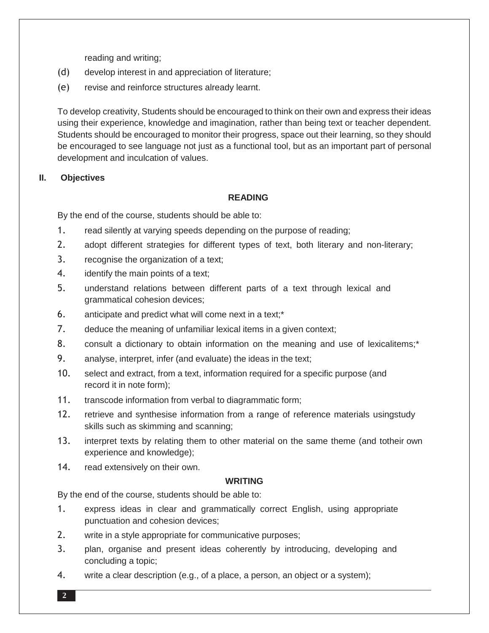reading and writing;

- (d) develop interest in and appreciation of literature;
- (e) revise and reinforce structures already learnt.

To develop creativity, Students should be encouraged to think on their own and express their ideas using their experience, knowledge and imagination, rather than being text or teacher dependent. Students should be encouraged to monitor their progress, space out their learning, so they should be encouraged to see language not just as a functional tool, but as an important part of personal development and inculcation of values.

# **II. Objectives**

# **READING**

By the end of the course, students should be able to:

- 1. read silently at varying speeds depending on the purpose of reading;
- 2. adopt different strategies for different types of text, both literary and non-literary;
- 3. recognise the organization of a text;
- 4. identify the main points of a text;
- 5. understand relations between different parts of a text through lexical and grammatical cohesion devices;
- 6. anticipate and predict what will come next in a text;\*
- 7. deduce the meaning of unfamiliar lexical items in a given context;
- 8. consult a dictionary to obtain information on the meaning and use of lexicalitems;<sup>\*</sup>
- 9. analyse, interpret, infer (and evaluate) the ideas in the text;
- 10. select and extract, from a text, information required for a specific purpose (and record it in note form);
- 11. transcode information from verbal to diagrammatic form;
- 12. retrieve and synthesise information from a range of reference materials usingstudy skills such as skimming and scanning;
- 13. interpret texts by relating them to other material on the same theme (and totheir own experience and knowledge);
- 14. read extensively on their own.

# **WRITING**

By the end of the course, students should be able to:

- 1. express ideas in clear and grammatically correct English, using appropriate punctuation and cohesion devices;
- 2. write in a style appropriate for communicative purposes;
- 3. plan, organise and present ideas coherently by introducing, developing and concluding a topic;
- 4. write a clear description (e.g., of a place, a person, an object or a system);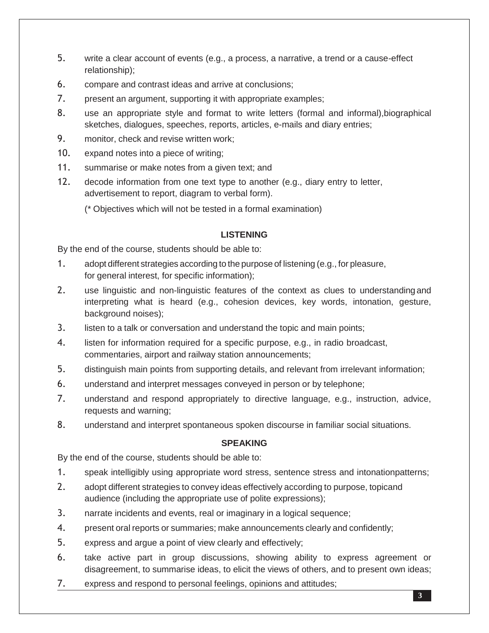- 5. write a clear account of events (e.g., a process, a narrative, a trend or a cause-effect relationship);
- 6. compare and contrast ideas and arrive at conclusions;
- 7. present an argument, supporting it with appropriate examples;
- 8. use an appropriate style and format to write letters (formal and informal),biographical sketches, dialogues, speeches, reports, articles, e-mails and diary entries;
- 9. monitor, check and revise written work;
- 10. expand notes into a piece of writing;
- 11. summarise or make notes from a given text; and
- 12. decode information from one text type to another (e.g., diary entry to letter, advertisement to report, diagram to verbal form).

(\* Objectives which will not be tested in a formal examination)

# **LISTENING**

By the end of the course, students should be able to:

- 1. adopt different strategies according to the purpose of listening (e.g., for pleasure, for general interest, for specific information);
- 2. use linguistic and non-linguistic features of the context as clues to understanding and interpreting what is heard (e.g., cohesion devices, key words, intonation, gesture, background noises);
- 3. listen to a talk or conversation and understand the topic and main points;
- 4. listen for information required for a specific purpose, e.g., in radio broadcast, commentaries, airport and railway station announcements;
- 5. distinguish main points from supporting details, and relevant from irrelevant information;
- 6. understand and interpret messages conveyed in person or by telephone;
- 7. understand and respond appropriately to directive language, e.g., instruction, advice, requests and warning;
- 8. understand and interpret spontaneous spoken discourse in familiar social situations.

# **SPEAKING**

By the end of the course, students should be able to:

- 1. speak intelligibly using appropriate word stress, sentence stress and intonationpatterns;
- 2. adopt different strategies to convey ideas effectively according to purpose, topicand audience (including the appropriate use of polite expressions);
- 3. narrate incidents and events, real or imaginary in a logical sequence;
- 4. present oral reports or summaries; make announcements clearly and confidently;
- 5. express and argue a point of view clearly and effectively;
- 6. take active part in group discussions, showing ability to express agreement or disagreement, to summarise ideas, to elicit the views of others, and to present own ideas;
- 7. express and respond to personal feelings, opinions and attitudes;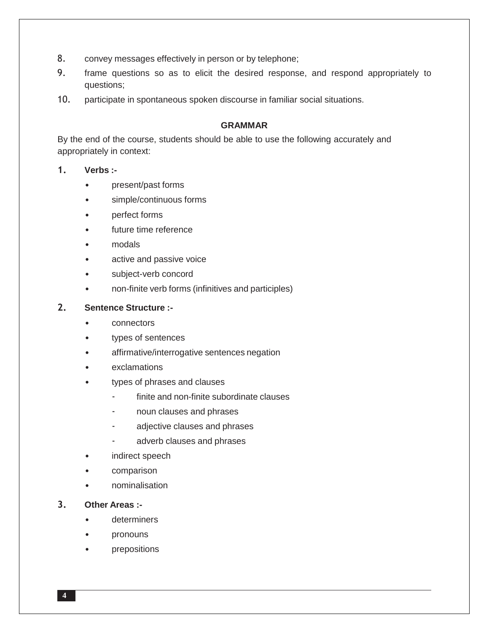- 8. convey messages effectively in person or by telephone;
- 9. frame questions so as to elicit the desired response, and respond appropriately to questions;
- 10. participate in spontaneous spoken discourse in familiar social situations.

# **GRAMMAR**

By the end of the course, students should be able to use the following accurately and appropriately in context:

## **1. Verbs :-**

- present/past forms
- simple/continuous forms
- perfect forms
- future time reference
- modals
- active and passive voice
- subject-verb concord
- non-finite verb forms (infinitives and participles)

## **2. Sentence Structure :-**

- connectors
- types of sentences
- affirmative/interrogative sentences negation
- **exclamations**
- types of phrases and clauses
	- finite and non-finite subordinate clauses
	- noun clauses and phrases
	- adjective clauses and phrases
	- adverb clauses and phrases
- indirect speech
- comparison
- nominalisation

# **3. Other Areas :-**

- determiners
- pronouns
- prepositions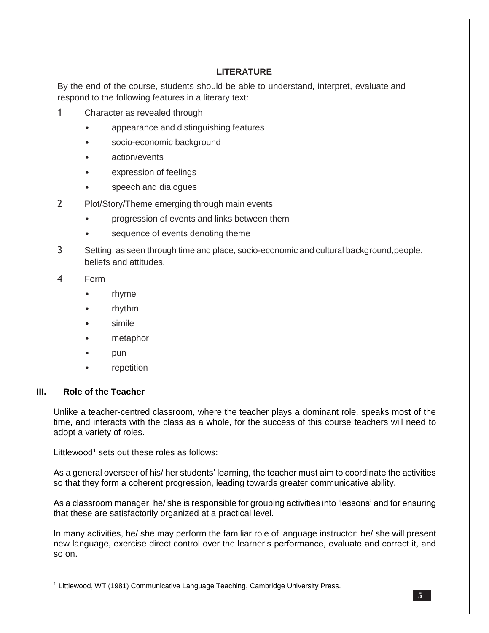# **LITERATURE**

By the end of the course, students should be able to understand, interpret, evaluate and respond to the following features in a literary text:

- 1 Character as revealed through
	- appearance and distinguishing features
	- socio-economic background
	- action/events
	- expression of feelings
	- speech and dialogues
- 2 Plot/Story/Theme emerging through main events
	- progression of events and links between them
	- sequence of events denoting theme
- 3 Setting, as seen through time and place, socio-economic and cultural background,people, beliefs and attitudes.
- 4 Form
	- rhyme
	- rhythm
	- simile
	- metaphor
	- pun
	- repetition

## **III. Role of the Teacher**

 $\overline{a}$ 

Unlike a teacher-centred classroom, where the teacher plays a dominant role, speaks most of the time, and interacts with the class as a whole, for the success of this course teachers will need to adopt a variety of roles.

Littlewood<sup>1</sup> sets out these roles as follows:

As a general overseer of his/ her students' learning, the teacher must aim to coordinate the activities so that they form a coherent progression, leading towards greater communicative ability.

As a classroom manager, he/ she is responsible for grouping activities into 'lessons' and for ensuring that these are satisfactorily organized at a practical level.

In many activities, he/ she may perform the familiar role of language instructor: he/ she will present new language, exercise direct control over the learner's performance, evaluate and correct it, and so on.

<sup>1</sup> Littlewood, WT (1981) Communicative Language Teaching, Cambridge University Press.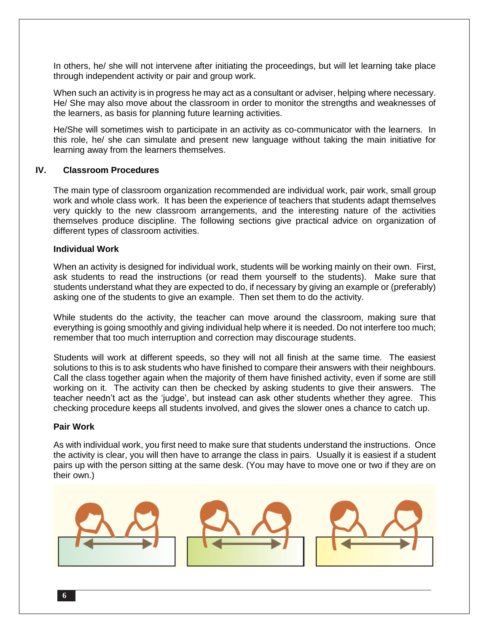In others, he/ she will not intervene after initiating the proceedings, but will let learning take place through independent activity or pair and group work.

When such an activity is in progress he may act as a consultant or adviser, helping where necessary. He/ She may also move about the classroom in order to monitor the strengths and weaknesses of the learners, as basis for planning future learning activities.

He/She will sometimes wish to participate in an activity as co-communicator with the learners. In this role, he/ she can simulate and present new language without taking the main initiative for learning away from the learners themselves.

## **IV. Classroom Procedures**

The main type of classroom organization recommended are individual work, pair work, small group work and whole class work. It has been the experience of teachers that students adapt themselves very quickly to the new classroom arrangements, and the interesting nature of the activities themselves produce discipline. The following sections give practical advice on organization of different types of classroom activities.

## **Individual Work**

When an activity is designed for individual work, students will be working mainly on their own. First, ask students to read the instructions (or read them yourself to the students). Make sure that students understand what they are expected to do, if necessary by giving an example or (preferably) asking one of the students to give an example. Then set them to do the activity.

While students do the activity, the teacher can move around the classroom, making sure that everything is going smoothly and giving individual help where it is needed. Do not interfere too much; remember that too much interruption and correction may discourage students.

Students will work at different speeds, so they will not all finish at the same time. The easiest solutions to this is to ask students who have finished to compare their answers with their neighbours. Call the class together again when the majority of them have finished activity, even if some are still working on it. The activity can then be checked by asking students to give their answers. The teacher needn't act as the 'judge', but instead can ask other students whether they agree. This checking procedure keeps all students involved, and gives the slower ones a chance to catch up.

## **Pair Work**

As with individual work, you first need to make sure that students understand the instructions. Once the activity is clear, you will then have to arrange the class in pairs. Usually it is easiest if a student pairs up with the person sitting at the same desk. (You may have to move one or two if they are on their own.)

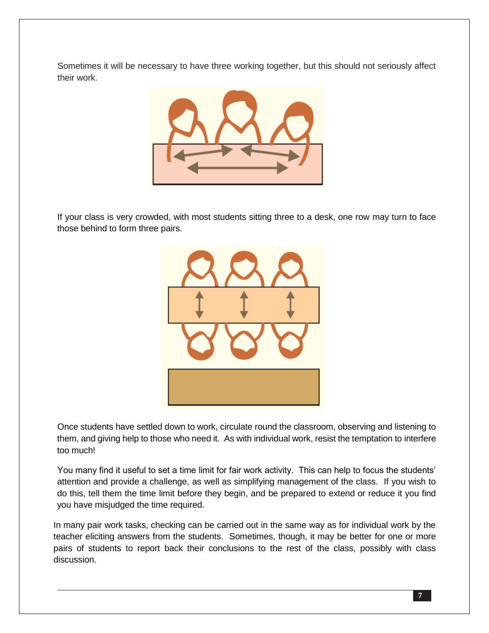Sometimes it will be necessary to have three working together, but this should not seriously affect their work.



If your class is very crowded, with most students sitting three to a desk, one row may turn to face those behind to form three pairs.



Once students have settled down to work, circulate round the classroom, observing and listening to them, and giving help to those who need it. As with individual work, resist the temptation to interfere too much!

You many find it useful to set a time limit for fair work activity. This can help to focus the students' attention and provide a challenge, as well as simplifying management of the class. If you wish to do this, tell them the time limit before they begin, and be prepared to extend or reduce it you find you have misjudged the time required.

In many pair work tasks, checking can be carried out in the same way as for individual work by the teacher eliciting answers from the students. Sometimes, though, it may be better for one or more pairs of students to report back their conclusions to the rest of the class, possibly with class discussion.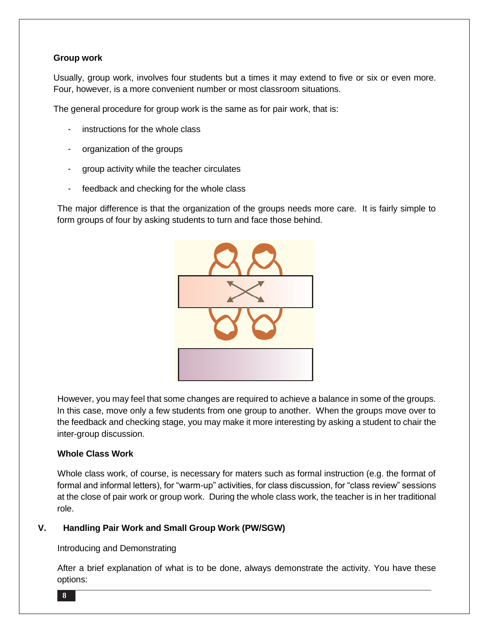# **Group work**

Usually, group work, involves four students but a times it may extend to five or six or even more. Four, however, is a more convenient number or most classroom situations.

The general procedure for group work is the same as for pair work, that is:

- instructions for the whole class
- organization of the groups
- group activity while the teacher circulates
- feedback and checking for the whole class

The major difference is that the organization of the groups needs more care. It is fairly simple to form groups of four by asking students to turn and face those behind.



However, you may feel that some changes are required to achieve a balance in some of the groups. In this case, move only a few students from one group to another. When the groups move over to the feedback and checking stage, you may make it more interesting by asking a student to chair the inter-group discussion.

## **Whole Class Work**

Whole class work, of course, is necessary for maters such as formal instruction (e.g. the format of formal and informal letters), for "warm-up" activities, for class discussion, for "class review" sessions at the close of pair work or group work. During the whole class work, the teacher is in her traditional role.

# **V. Handling Pair Work and Small Group Work (PW/SGW)**

## Introducing and Demonstrating

After a brief explanation of what is to be done, always demonstrate the activity. You have these options: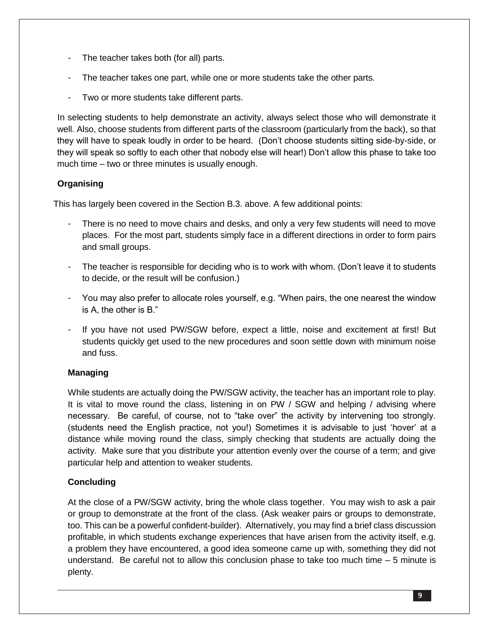- The teacher takes both (for all) parts.
- The teacher takes one part, while one or more students take the other parts.
- Two or more students take different parts.

In selecting students to help demonstrate an activity, always select those who will demonstrate it well. Also, choose students from different parts of the classroom (particularly from the back), so that they will have to speak loudly in order to be heard. (Don't choose students sitting side-by-side, or they will speak so softly to each other that nobody else will hear!) Don't allow this phase to take too much time – two or three minutes is usually enough.

# **Organising**

This has largely been covered in the Section B.3. above. A few additional points:

- There is no need to move chairs and desks, and only a very few students will need to move places. For the most part, students simply face in a different directions in order to form pairs and small groups.
- The teacher is responsible for deciding who is to work with whom. (Don't leave it to students to decide, or the result will be confusion.)
- You may also prefer to allocate roles yourself, e.g. "When pairs, the one nearest the window is A, the other is B."
- If you have not used PW/SGW before, expect a little, noise and excitement at first! But students quickly get used to the new procedures and soon settle down with minimum noise and fuss.

# **Managing**

While students are actually doing the PW/SGW activity, the teacher has an important role to play. It is vital to move round the class, listening in on PW / SGW and helping / advising where necessary. Be careful, of course, not to "take over" the activity by intervening too strongly. (students need the English practice, not you!) Sometimes it is advisable to just 'hover' at a distance while moving round the class, simply checking that students are actually doing the activity. Make sure that you distribute your attention evenly over the course of a term; and give particular help and attention to weaker students.

# **Concluding**

At the close of a PW/SGW activity, bring the whole class together. You may wish to ask a pair or group to demonstrate at the front of the class. (Ask weaker pairs or groups to demonstrate, too. This can be a powerful confident-builder). Alternatively, you may find a brief class discussion profitable, in which students exchange experiences that have arisen from the activity itself, e.g. a problem they have encountered, a good idea someone came up with, something they did not understand. Be careful not to allow this conclusion phase to take too much time  $-5$  minute is plenty.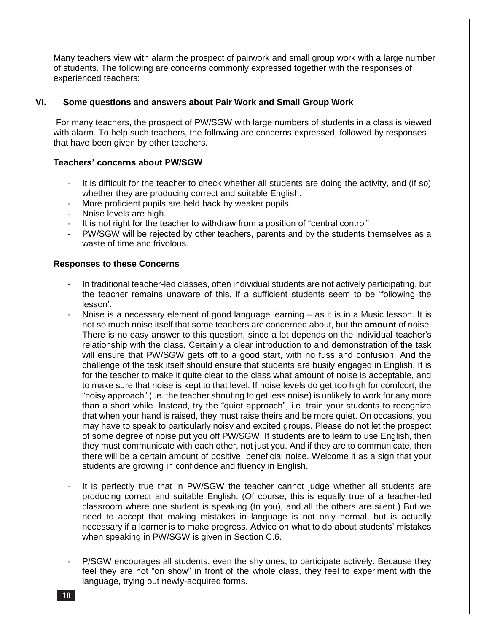Many teachers view with alarm the prospect of pairwork and small group work with a large number of students. The following are concerns commonly expressed together with the responses of experienced teachers:

# **VI. Some questions and answers about Pair Work and Small Group Work**

For many teachers, the prospect of PW/SGW with large numbers of students in a class is viewed with alarm. To help such teachers, the following are concerns expressed, followed by responses that have been given by other teachers.

## **Teachers' concerns about PW/SGW**

- It is difficult for the teacher to check whether all students are doing the activity, and (if so) whether they are producing correct and suitable English.
- More proficient pupils are held back by weaker pupils.
- Noise levels are high.
- It is not right for the teacher to withdraw from a position of "central control"
- PW/SGW will be rejected by other teachers, parents and by the students themselves as a waste of time and frivolous.

## **Responses to these Concerns**

- In traditional teacher-led classes, often individual students are not actively participating, but the teacher remains unaware of this, if a sufficient students seem to be 'following the lesson'.
- Noise is a necessary element of good language learning  $-$  as it is in a Music lesson. It is not so much noise itself that some teachers are concerned about, but the **amount** of noise. There is no easy answer to this question, since a lot depends on the individual teacher's relationship with the class. Certainly a clear introduction to and demonstration of the task will ensure that PW/SGW gets off to a good start, with no fuss and confusion. And the challenge of the task itself should ensure that students are busily engaged in English. It is for the teacher to make it quite clear to the class what amount of noise is acceptable, and to make sure that noise is kept to that level. If noise levels do get too high for comfcort, the "noisy approach" (i.e. the teacher shouting to get less noise) is unlikely to work for any more than a short while. Instead, try the "quiet approach", i.e. train your students to recognize that when your hand is raised, they must raise theirs and be more quiet. On occasions, you may have to speak to particularly noisy and excited groups. Please do not let the prospect of some degree of noise put you off PW/SGW. If students are to learn to use English, then they must communicate with each other, not just you. And if they are to communicate, then there will be a certain amount of positive, beneficial noise. Welcome it as a sign that your students are growing in confidence and fluency in English.
- It is perfectly true that in PW/SGW the teacher cannot judge whether all students are producing correct and suitable English. (Of course, this is equally true of a teacher-led classroom where one student is speaking (to you), and all the others are silent.) But we need to accept that making mistakes in language is not only normal, but is actually necessary if a learner is to make progress. Advice on what to do about students' mistakes when speaking in PW/SGW is given in Section C.6.
- P/SGW encourages all students, even the shy ones, to participate actively. Because they feel they are not "on show" in front of the whole class, they feel to experiment with the language, trying out newly-acquired forms.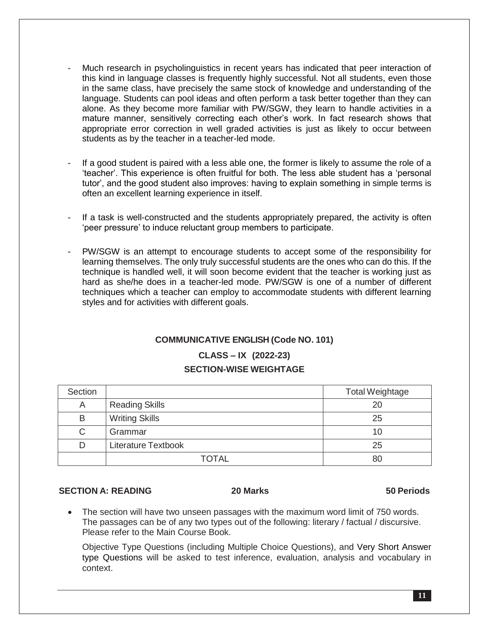- Much research in psycholinguistics in recent years has indicated that peer interaction of this kind in language classes is frequently highly successful. Not all students, even those in the same class, have precisely the same stock of knowledge and understanding of the language. Students can pool ideas and often perform a task better together than they can alone. As they become more familiar with PW/SGW, they learn to handle activities in a mature manner, sensitively correcting each other's work. In fact research shows that appropriate error correction in well graded activities is just as likely to occur between students as by the teacher in a teacher-led mode.
- If a good student is paired with a less able one, the former is likely to assume the role of a 'teacher'. This experience is often fruitful for both. The less able student has a 'personal tutor', and the good student also improves: having to explain something in simple terms is often an excellent learning experience in itself.
- If a task is well-constructed and the students appropriately prepared, the activity is often 'peer pressure' to induce reluctant group members to participate.
- PW/SGW is an attempt to encourage students to accept some of the responsibility for learning themselves. The only truly successful students are the ones who can do this. If the technique is handled well, it will soon become evident that the teacher is working just as hard as she/he does in a teacher-led mode. PW/SGW is one of a number of different techniques which a teacher can employ to accommodate students with different learning styles and for activities with different goals.

# **COMMUNICATIVE ENGLISH (Code NO. 101)**

# **CLASS – IX (2022-23) SECTION-WISE WEIGHTAGE**

| Section |                            | <b>Total Weightage</b> |
|---------|----------------------------|------------------------|
| Α       | <b>Reading Skills</b>      | 20                     |
| B       | <b>Writing Skills</b>      | 25                     |
| С       | Grammar                    | 10                     |
| D       | <b>Literature Textbook</b> | 25                     |
|         | <b>TOTAL</b>               | 80                     |

# **SECTION A: READING 20 Marks 50 Periods**

 The section will have two unseen passages with the maximum word limit of 750 words. The passages can be of any two types out of the following: literary / factual / discursive. Please refer to the Main Course Book.

Objective Type Questions (including Multiple Choice Questions), and Very Short Answer type Questions will be asked to test inference, evaluation, analysis and vocabulary in context.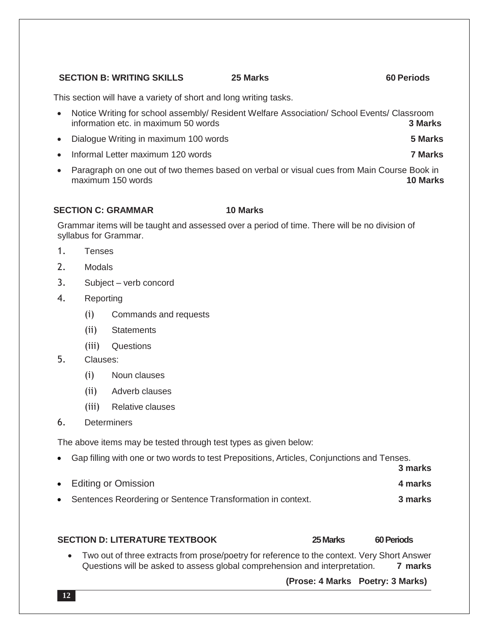# **SECTION B: WRITING SKILLS 25 Marks 60 Periods**

This section will have a variety of short and long writing tasks.

- Notice Writing for school assembly/ Resident Welfare Association/ School Events/ Classroom information etc. in maximum 50 words **3 Marks**
- Dialogue Writing in maximum 100 words **5 Marks**
- Informal Letter maximum 120 words **7 Marks**
- Paragraph on one out of two themes based on verbal or visual cues from Main Course Book in maximum 150 words **10 Marks**

## **SECTION C: GRAMMAR 10 Marks**

Grammar items will be taught and assessed over a period of time. There will be no division of syllabus for Grammar.

- 1. Tenses
- 2. Modals
- 3. Subject verb concord
- 4. Reporting
	- (i) Commands and requests
	- (ii) Statements
	- (iii) Questions
- 5. Clauses:
	- (i) Noun clauses
	- (ii) Adverb clauses
	- (iii) Relative clauses
- 6. Determiners

The above items may be tested through test types as given below:

Gap filling with one or two words to test Prepositions, Articles, Conjunctions and Tenses.

|                                                               | - - - - - - - - - - - |
|---------------------------------------------------------------|-----------------------|
| • Editing or Omission                                         | 4 marks               |
| • Sentences Reordering or Sentence Transformation in context. | 3 marks               |

#### **SECTION D: LITERATURE TEXTBOOK 25Marks 60 Periods**

**3 marks**

 Two out of three extracts from prose/poetry for reference to the context. Very Short Answer Questions will be asked to assess global comprehension and interpretation. **7 marks**

 **(Prose: 4 Marks Poetry: 3 Marks)**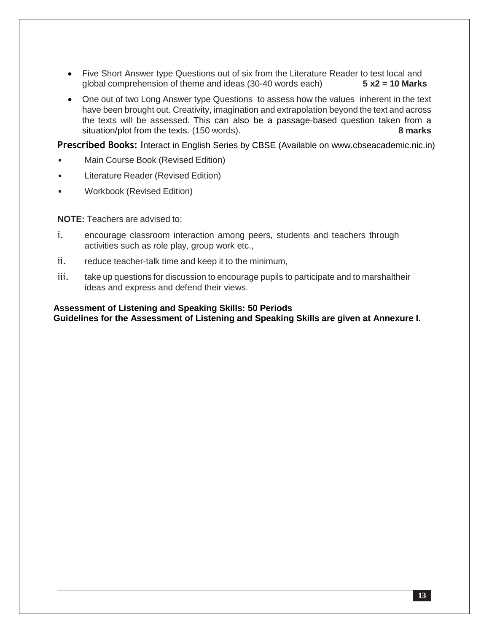- Five Short Answer type Questions out of six from the Literature Reader to test local and global comprehension of theme and ideas (30-40 words each) **5 x2 = 10 Marks**
- One out of two Long Answer type Questions to assess how the values inherent in the text have been brought out. Creativity, imagination and extrapolation beyond the text and across the texts will be assessed. This can also be a passage-based question taken from a situation/plot from the texts. (150 words). **8 marks**

**Prescribed Books:** Interact in English Series by CBSE (Available on www.cbseacademic.nic.in)

- Main Course Book (Revised Edition)
- Literature Reader (Revised Edition)
- Workbook (Revised Edition)

**NOTE:** Teachers are advised to:

- i. encourage classroom interaction among peers, students and teachers through activities such as role play, group work etc.,
- ii. reduce teacher-talk time and keep it to the minimum,
- iii. take up questions for discussion to encourage pupils to participate and to marshaltheir ideas and express and defend their views.

**Assessment of Listening and Speaking Skills: 50 Periods Guidelines for the Assessment of Listening and Speaking Skills are given at Annexure I.**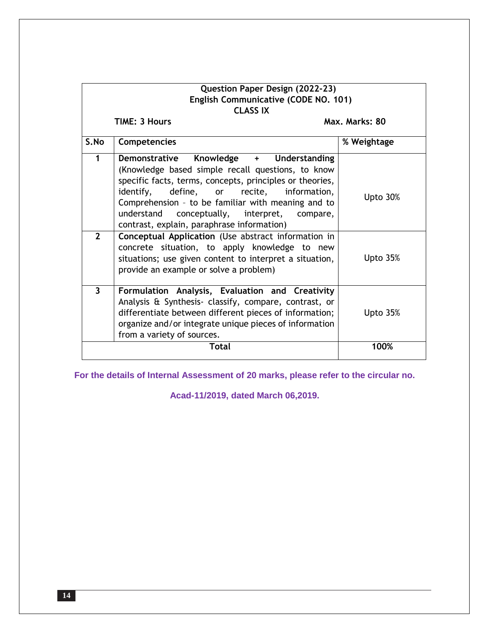| Question Paper Design (2022-23)<br>English Communicative (CODE NO. 101)<br><b>CLASS IX</b> |                                                                                                                                                                                                                                                                                                                                                                                                                                                                               |             |  |  |  |  |
|--------------------------------------------------------------------------------------------|-------------------------------------------------------------------------------------------------------------------------------------------------------------------------------------------------------------------------------------------------------------------------------------------------------------------------------------------------------------------------------------------------------------------------------------------------------------------------------|-------------|--|--|--|--|
|                                                                                            | <b>TIME: 3 Hours</b><br>Max. Marks: 80                                                                                                                                                                                                                                                                                                                                                                                                                                        |             |  |  |  |  |
| S.No                                                                                       | <b>Competencies</b>                                                                                                                                                                                                                                                                                                                                                                                                                                                           | % Weightage |  |  |  |  |
| 1<br>$\overline{2}$                                                                        | Demonstrative Knowledge + Understanding<br>(Knowledge based simple recall questions, to know<br>specific facts, terms, concepts, principles or theories,<br>define, or recite,<br>identify,<br>information,<br>Comprehension - to be familiar with meaning and to<br>understand<br>conceptually, interpret,<br>compare,<br>contrast, explain, paraphrase information)<br>Conceptual Application (Use abstract information in<br>concrete situation, to apply knowledge to new | Upto 30%    |  |  |  |  |
|                                                                                            | situations; use given content to interpret a situation,<br>provide an example or solve a problem)                                                                                                                                                                                                                                                                                                                                                                             | Upto $35%$  |  |  |  |  |
| $\overline{3}$                                                                             | Formulation Analysis, Evaluation and Creativity<br>Analysis & Synthesis- classify, compare, contrast, or<br>differentiate between different pieces of information;<br>organize and/or integrate unique pieces of information<br>from a variety of sources.                                                                                                                                                                                                                    | Upto $35%$  |  |  |  |  |
|                                                                                            | Total                                                                                                                                                                                                                                                                                                                                                                                                                                                                         | 100%        |  |  |  |  |

**For the details of Internal Assessment of 20 marks, please refer to the circular no.**

**Acad-11/2019, dated March 06,2019.**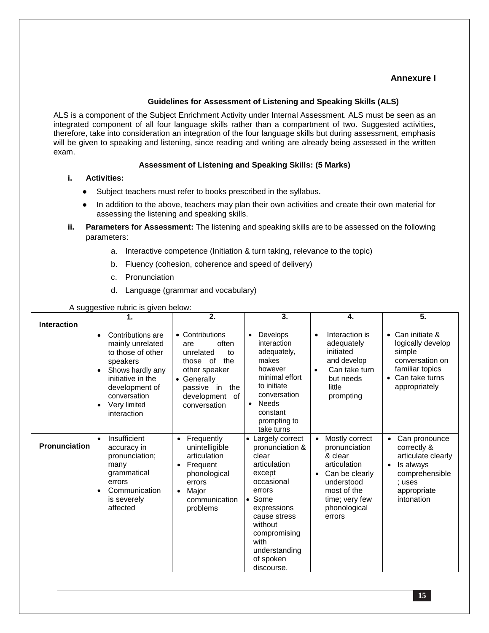# **Annexure I**

#### **Guidelines for Assessment of Listening and Speaking Skills (ALS)**

ALS is a component of the Subject Enrichment Activity under Internal Assessment. ALS must be seen as an integrated component of all four language skills rather than a compartment of two. Suggested activities, therefore, take into consideration an integration of the four language skills but during assessment, emphasis will be given to speaking and listening, since reading and writing are already being assessed in the written exam.

## **Assessment of Listening and Speaking Skills: (5 Marks)**

- **i. Activities:**
	- Subject teachers must refer to books prescribed in the syllabus.
	- In addition to the above, teachers may plan their own activities and create their own material for assessing the listening and speaking skills.
- **ii. Parameters for Assessment:** The listening and speaking skills are to be assessed on the following parameters:
	- a. Interactive competence (Initiation & turn taking, relevance to the topic)
	- b. Fluency (cohesion, coherence and speed of delivery)
	- c. Pronunciation
	- d. Language (grammar and vocabulary)

#### A suggestive rubric is given below:

| . . - - ອອ         |                                                                                                                                                                                        |                                                                                                                                                                 |                                                                                                                                                                                                                     |                                                                                                                                                       |                                                                                                                                                        |
|--------------------|----------------------------------------------------------------------------------------------------------------------------------------------------------------------------------------|-----------------------------------------------------------------------------------------------------------------------------------------------------------------|---------------------------------------------------------------------------------------------------------------------------------------------------------------------------------------------------------------------|-------------------------------------------------------------------------------------------------------------------------------------------------------|--------------------------------------------------------------------------------------------------------------------------------------------------------|
| <b>Interaction</b> | 1.<br>Contributions are<br>mainly unrelated<br>to those of other<br>speakers<br>Shows hardly any<br>initiative in the<br>development of<br>conversation<br>Very limited<br>interaction | 2.<br>• Contributions<br>often<br>are<br>unrelated<br>to<br>those of<br>the<br>other speaker<br>• Generally<br>passive in the<br>development of<br>conversation | 3.<br>Develops<br>$\bullet$<br>interaction<br>adequately,<br>makes<br>however<br>minimal effort<br>to initiate<br>conversation<br><b>Needs</b><br>٠<br>constant<br>prompting to<br>take turns                       | 4.<br>Interaction is<br>adequately<br>initiated<br>and develop<br>Can take turn<br>but needs<br>little<br>prompting                                   | 5.<br>Can initiate &<br>$\bullet$<br>logically develop<br>simple<br>conversation on<br>familiar topics<br>Can take turns<br>$\bullet$<br>appropriately |
| Pronunciation      | Insufficient<br>$\bullet$<br>accuracy in<br>pronunciation;<br>many<br>grammatical<br>errors<br>Communication<br>$\bullet$<br>is severely<br>affected                                   | Frequently<br>unintelligible<br>articulation<br>Frequent<br>$\bullet$<br>phonological<br>errors<br>Major<br>$\bullet$<br>communication<br>problems              | Largely correct<br>pronunciation &<br>clear<br>articulation<br>except<br>occasional<br>errors<br>Some<br>expressions<br>cause stress<br>without<br>compromising<br>with<br>understanding<br>of spoken<br>discourse. | Mostly correct<br>pronunciation<br>& clear<br>articulation<br>Can be clearly<br>understood<br>most of the<br>time; very few<br>phonological<br>errors | Can pronounce<br>correctly &<br>articulate clearly<br>Is always<br>$\bullet$<br>comprehensible<br>: uses<br>appropriate<br>intonation                  |